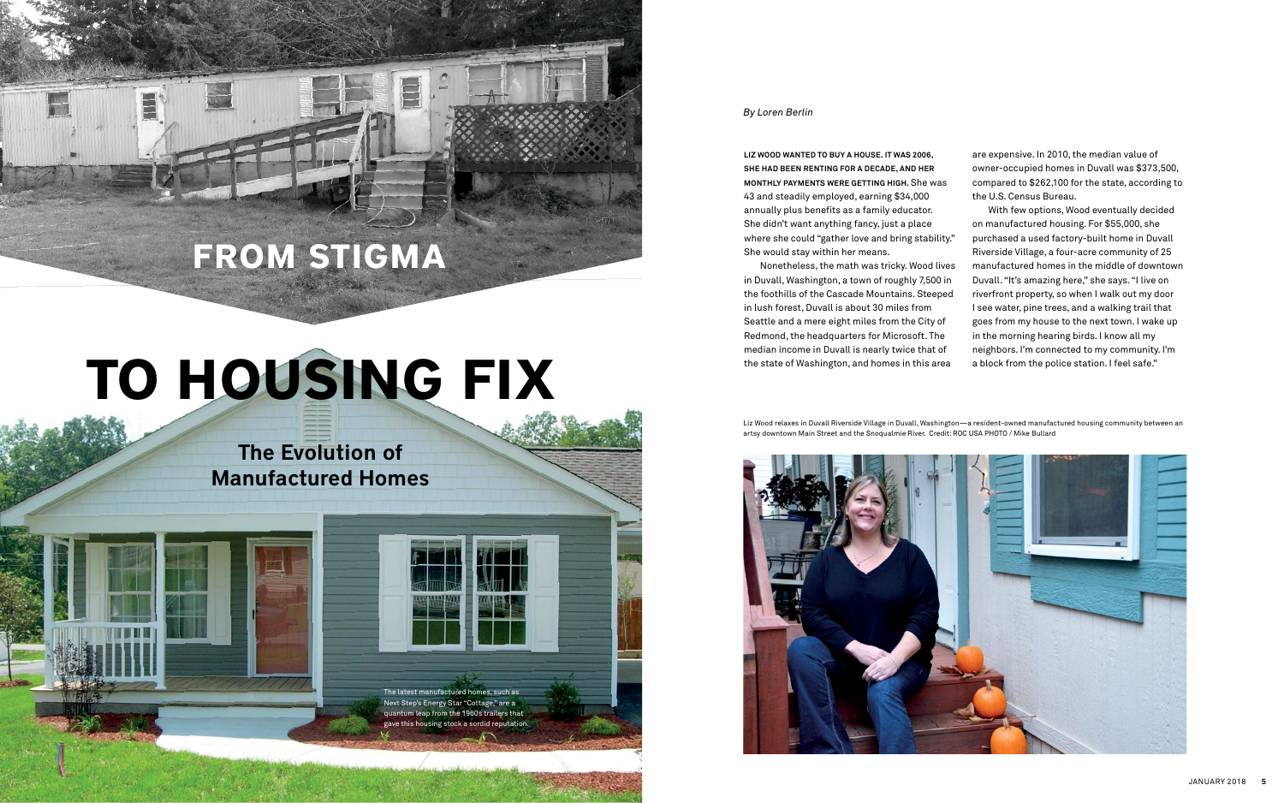## The Evolution of Manufactured Homes

# **TO HOUSING FIX**

## **FROM STIGMA**

E

**LIZ WOOD WANTED TO BUY A HOUSE. IT WAS 2006, SHE HAD BEEN RENTING FOR A DECADE, AND HER MONTHLY PAYMENTS WERE GETTING HIGH.** She was 43 and steadily employed, earning \$34,000 annually plus benefits as a family educator. She didn't want anything fancy, just a place where she could "gather love and bring stability." She would stay within her means.

Nonetheless, the math was tricky. Wood lives in Duvall, Washington, a town of roughly 7,500 in the foothills of the Cascade Mountains. Steeped in lush forest, Duvall is about 30 miles from Seattle and a mere eight miles from the City of Redmond, the headquarters for Microsoft. The median income in Duvall is nearly twice that of the state of Washington, and homes in this area

*By Loren Berlin*

Liz Wood relaxes in Duvall Riverside Village in Duvall, Washington—a resident-owned manufactured housing community between an artsy downtown Main Street and the Snoqualmie River. Credit: ROC USA PHOTO / Mike Bullard



The latest manufactured homes, such as

Next Step's Energy Star "Cottage," are a quantum leap from the 1960s trailers that gave this housing stock a sordid reputation. are expensive. In 2010, the median value of owner-occupied homes in Duvall was \$373,500, compared to \$262,100 for the state, according to the U.S. Census Bureau.

With few options, Wood eventually decided on manufactured housing. For \$55,000, she purchased a used factory-built home in Duvall Riverside Village, a four-acre community of 25 manufactured homes in the middle of downtown Duvall. "It's amazing here," she says. "I live on riverfront property, so when I walk out my door I see water, pine trees, and a walking trail that goes from my house to the next town. I wake up in the morning hearing birds. I know all my neighbors. I'm connected to my community. I'm a block from the police station. I feel safe."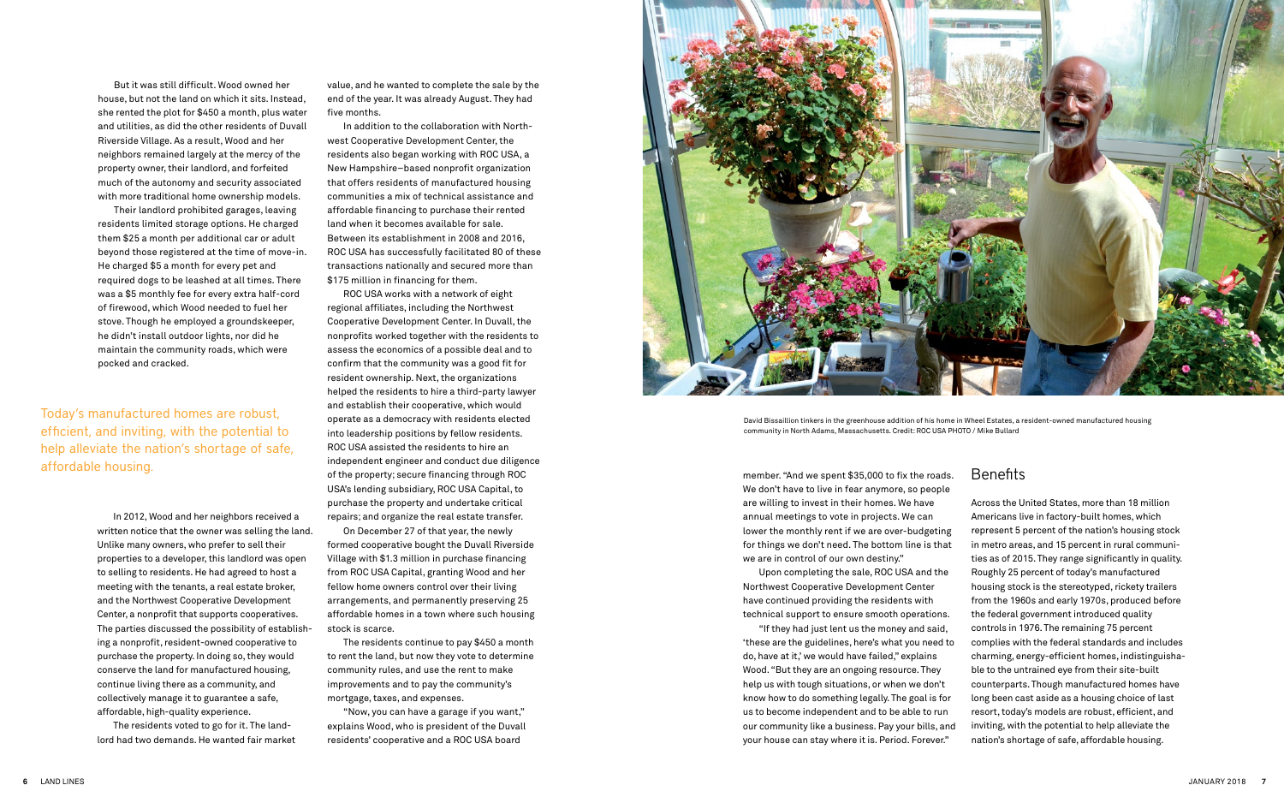But it was still difficult. Wood owned her house, but not the land on which it sits. Instead, she rented the plot for \$450 a month, plus water and utilities, as did the other residents of Duvall Riverside Village. As a result, Wood and her neighbors remained largely at the mercy of the property owner, their landlord, and forfeited much of the autonomy and security associated with more traditional home ownership models.

Their landlord prohibited garages, leaving residents limited storage options. He charged them \$25 a month per additional car or adult beyond those registered at the time of move-in. He charged \$5 a month for every pet and required dogs to be leashed at all times. There was a \$5 monthly fee for every extra half-cord of firewood, which Wood needed to fuel her stove. Though he employed a groundskeeper, he didn't install outdoor lights, nor did he maintain the community roads, which were pocked and cracked.

In 2012, Wood and her neighbors received a written notice that the owner was selling the land. Unlike many owners, who prefer to sell their properties to a developer, this landlord was open to selling to residents. He had agreed to host a meeting with the tenants, a real estate broker, and the Northwest Cooperative Development Center, a nonprofit that supports cooperatives. The parties discussed the possibility of establishing a nonprofit, resident-owned cooperative to purchase the property. In doing so, they would conserve the land for manufactured housing, continue living there as a community, and collectively manage it to guarantee a safe, affordable, high-quality experience.

The residents voted to go for it. The landlord had two demands. He wanted fair market

member. "And we spent \$35,000 to fix the roads. We don't have to live in fear anymore, so people are willing to invest in their homes. We have annual meetings to vote in projects. We can lower the monthly rent if we are over-budgeting for things we don't need. The bottom line is that we are in control of our own destiny."

Upon completing the sale, ROC USA and the Northwest Cooperative Development Center have continued providing the residents with technical support to ensure smooth operations.

"If they had just lent us the money and said, 'these are the guidelines, here's what you need to do, have at it,' we would have failed," explains Wood. "But they are an ongoing resource. They help us with tough situations, or when we don't know how to do something legally. The goal is for us to become independent and to be able to run our community like a business. Pay your bills, and your house can stay where it is. Period. Forever."

## Benefits

Across the United States, more than 18 million Americans live in factory-built homes, which represent 5 percent of the nation's housing stock in metro areas, and 15 percent in rural communities as of 2015. They range significantly in quality. Roughly 25 percent of today's manufactured housing stock is the stereotyped, rickety trailers from the 1960s and early 1970s, produced before the federal government introduced quality controls in 1976. The remaining 75 percent complies with the federal standards and includes charming, energy-efficient homes, indistinguishable to the untrained eye from their site-built counterparts. Though manufactured homes have long been cast aside as a housing choice of last resort, today's models are robust, efficient, and inviting, with the potential to help alleviate the nation's shortage of safe, affordable housing.

Today's manufactured homes are robust, efficient, and inviting, with the potential to help alleviate the nation's shortage of safe, affordable housing.

David Bissaillion tinkers in the greenhouse addition of his home in Wheel Estates, a resident-owned manufactured housing community in North Adams, Massachusetts. Credit: ROC USA PHOTO / Mike Bullard

value, and he wanted to complete the sale by the end of the year. It was already August. They had five months.

In addition to the collaboration with Northwest Cooperative Development Center, the residents also began working with ROC USA, a New Hampshire–based nonprofit organization that offers residents of manufactured housing communities a mix of technical assistance and affordable financing to purchase their rented land when it becomes available for sale. Between its establishment in 2008 and 2016, ROC USA has successfully facilitated 80 of these transactions nationally and secured more than \$175 million in financing for them.

ROC USA works with a network of eight regional affiliates, including the Northwest Cooperative Development Center. In Duvall, the nonprofits worked together with the residents to assess the economics of a possible deal and to confirm that the community was a good fit for resident ownership. Next, the organizations helped the residents to hire a third-party lawyer and establish their cooperative, which would operate as a democracy with residents elected into leadership positions by fellow residents. ROC USA assisted the residents to hire an independent engineer and conduct due diligence of the property; secure financing through ROC USA's lending subsidiary, ROC USA Capital, to purchase the property and undertake critical repairs; and organize the real estate transfer.

On December 27 of that year, the newly formed cooperative bought the Duvall Riverside Village with \$1.3 million in purchase financing from ROC USA Capital, granting Wood and her fellow home owners control over their living arrangements, and permanently preserving 25 affordable homes in a town where such housing stock is scarce.

The residents continue to pay \$450 a month to rent the land, but now they vote to determine community rules, and use the rent to make improvements and to pay the community's mortgage, taxes, and expenses.

"Now, you can have a garage if you want," explains Wood, who is president of the Duvall residents' cooperative and a ROC USA board

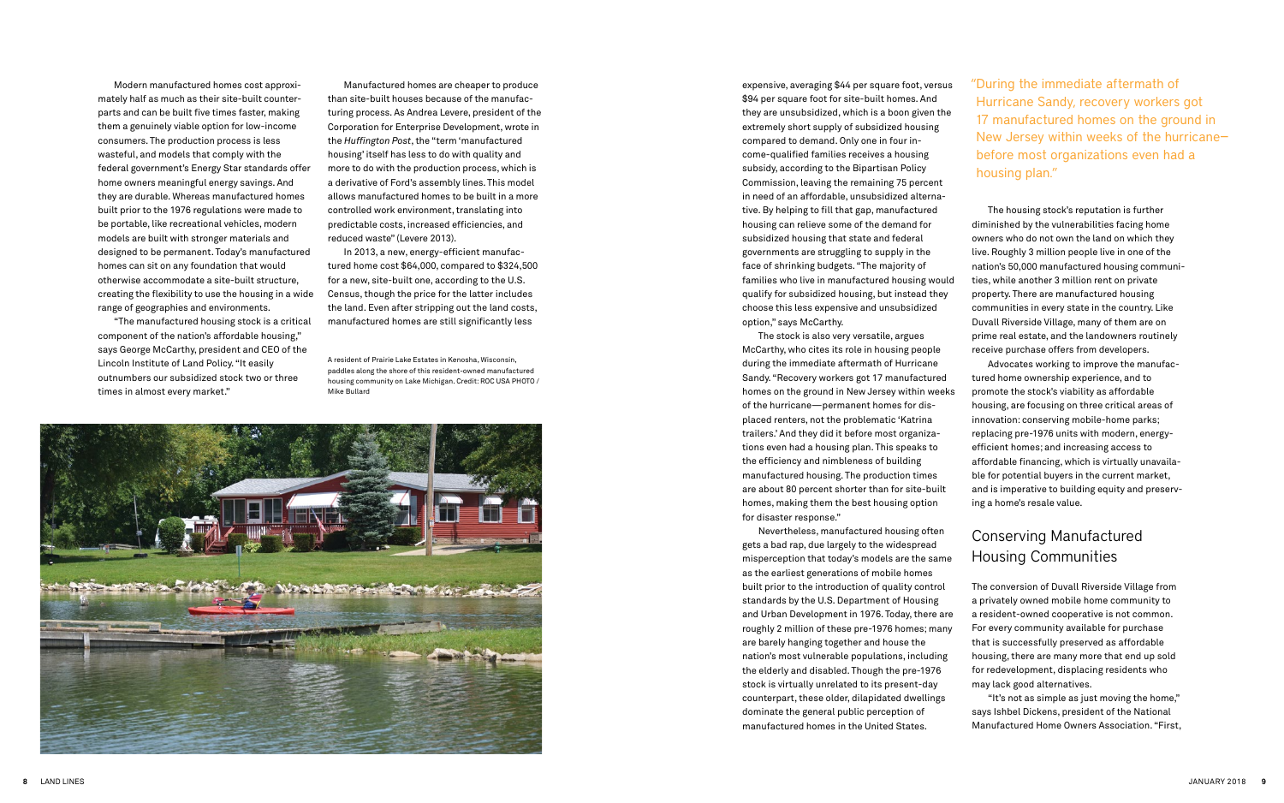Modern manufactured homes cost approximately half as much as their site-built counterparts and can be built five times faster, making them a genuinely viable option for low-income consumers. The production process is less wasteful, and models that comply with the federal government's Energy Star standards offer home owners meaningful energy savings. And they are durable. Whereas manufactured homes built prior to the 1976 regulations were made to be portable, like recreational vehicles, modern models are built with stronger materials and designed to be permanent. Today's manufactured homes can sit on any foundation that would otherwise accommodate a site-built structure, creating the flexibility to use the housing in a wide range of geographies and environments.

"The manufactured housing stock is a critical component of the nation's affordable housing," says George McCarthy, president and CEO of the Lincoln Institute of Land Policy. "It easily outnumbers our subsidized stock two or three times in almost every market."

Manufactured homes are cheaper to produce than site-built houses because of the manufacturing process. As Andrea Levere, president of the Corporation for Enterprise Development, wrote in the *Huffington Post*, the "term 'manufactured housing' itself has less to do with quality and more to do with the production process, which is a derivative of Ford's assembly lines. This model allows manufactured homes to be built in a more controlled work environment, translating into predictable costs, increased efficiencies, and reduced waste" (Levere 2013).

In 2013, a new, energy-efficient manufactured home cost \$64,000, compared to \$324,500 for a new, site-built one, according to the U.S. Census, though the price for the latter includes the land. Even after stripping out the land costs, manufactured homes are still significantly less

expensive, averaging \$44 per square foot, versus \$94 per square foot for site-built homes. And they are unsubsidized, which is a boon given the extremely short supply of subsidized housing compared to demand. Only one in four income-qualified families receives a housing subsidy, according to the Bipartisan Policy Commission, leaving the remaining 75 percent in need of an affordable, unsubsidized alternative. By helping to fill that gap, manufactured housing can relieve some of the demand for subsidized housing that state and federal governments are struggling to supply in the face of shrinking budgets. "The majority of families who live in manufactured housing would qualify for subsidized housing, but instead they choose this less expensive and unsubsidized option," says McCarthy.

The stock is also very versatile, argues McCarthy, who cites its role in housing people during the immediate aftermath of Hurricane Sandy. "Recovery workers got 17 manufactured homes on the ground in New Jersey within weeks of the hurricane—permanent homes for displaced renters, not the problematic 'Katrina trailers.' And they did it before most organizations even had a housing plan. This speaks to the efficiency and nimbleness of building manufactured housing. The production times are about 80 percent shorter than for site-built homes, making them the best housing option for disaster response."

Nevertheless, manufactured housing often gets a bad rap, due largely to the widespread misperception that today's models are the same as the earliest generations of mobile homes built prior to the introduction of quality control standards by the U.S. Department of Housing and Urban Development in 1976. Today, there are roughly 2 million of these pre-1976 homes; many are barely hanging together and house the nation's most vulnerable populations, including the elderly and disabled. Though the pre-1976 stock is virtually unrelated to its present-day counterpart, these older, dilapidated dwellings dominate the general public perception of manufactured homes in the United States.

The housing stock's reputation is further diminished by the vulnerabilities facing home owners who do not own the land on which they live. Roughly 3 million people live in one of the nation's 50,000 manufactured housing communities, while another 3 million rent on private property. There are manufactured housing communities in every state in the country. Like Duvall Riverside Village, many of them are on prime real estate, and the landowners routinely receive purchase offers from developers. Advocates working to improve the manufactured home ownership experience, and to promote the stock's viability as affordable housing, are focusing on three critical areas of innovation: conserving mobile-home parks; replacing pre-1976 units with modern, energyefficient homes; and increasing access to affordable financing, which is virtually unavailable for potential buyers in the current market, and is imperative to building equity and preserving a home's resale value.

#### Conserving Manufactured Housing Communities

The conversion of Duvall Riverside Village from a privately owned mobile home community to a resident-owned cooperative is not common. For every community available for purchase that is successfully preserved as affordable housing, there are many more that end up sold for redevelopment, displacing residents who may lack good alternatives.

"It's not as simple as just moving the home," says Ishbel Dickens, president of the National Manufactured Home Owners Association. "First,

A resident of Prairie Lake Estates in Kenosha, Wisconsin, paddles along the shore of this resident-owned manufactured housing community on Lake Michigan. Credit: ROC USA PHOTO / Mike Bullard



"During the immediate aftermath of Hurricane Sandy, recovery workers got 17 manufactured homes on the ground in New Jersey within weeks of the hurricane before most organizations even had a housing plan."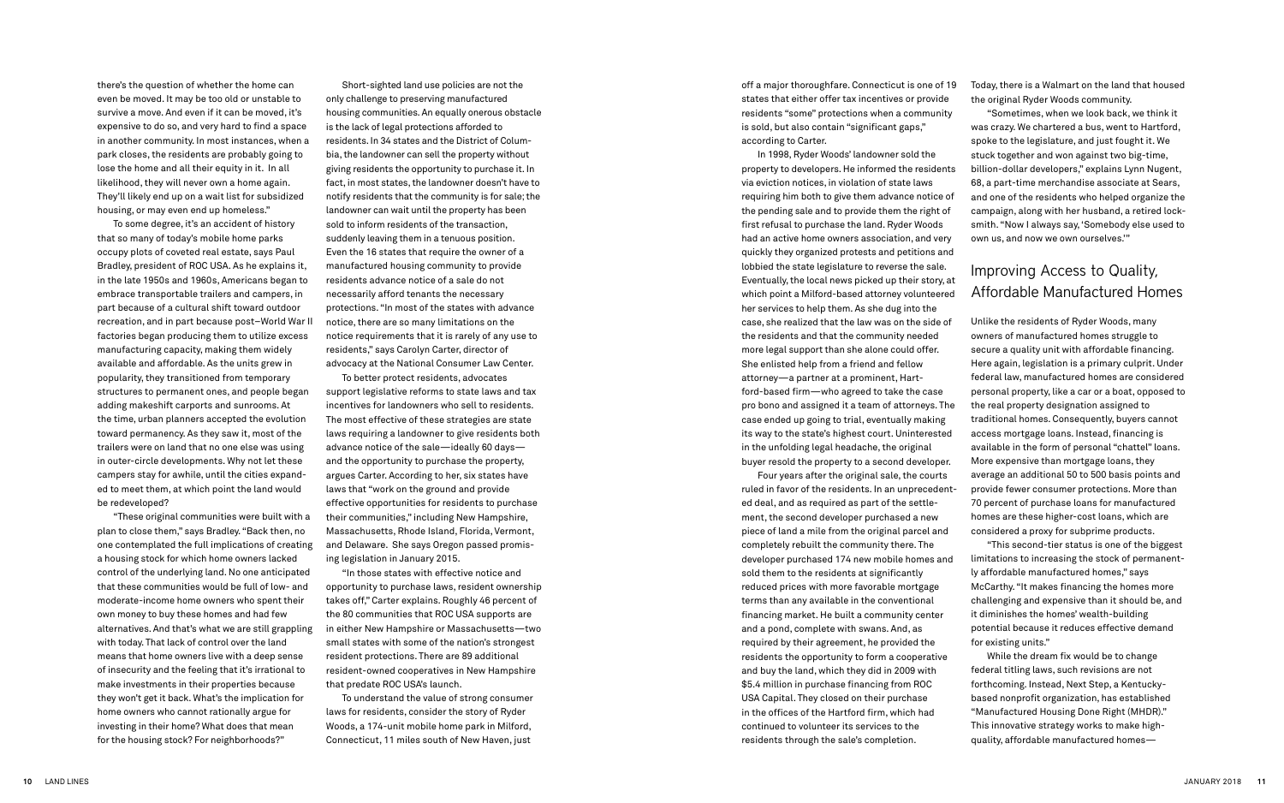there's the question of whether the home can even be moved. It may be too old or unstable to survive a move. And even if it can be moved, it's expensive to do so, and very hard to find a space in another community. In most instances, when a park closes, the residents are probably going to lose the home and all their equity in it. In all likelihood, they will never own a home again. They'll likely end up on a wait list for subsidized housing, or may even end up homeless."

To some degree, it's an accident of history that so many of today's mobile home parks occupy plots of coveted real estate, says Paul Bradley, president of ROC USA. As he explains it, in the late 1950s and 1960s, Americans began to embrace transportable trailers and campers, in part because of a cultural shift toward outdoor recreation, and in part because post–World War II factories began producing them to utilize excess manufacturing capacity, making them widely available and affordable. As the units grew in popularity, they transitioned from temporary structures to permanent ones, and people began adding makeshift carports and sunrooms. At the time, urban planners accepted the evolution toward permanency. As they saw it, most of the trailers were on land that no one else was using in outer-circle developments. Why not let these campers stay for awhile, until the cities expanded to meet them, at which point the land would be redeveloped?

"These original communities were built with a plan to close them," says Bradley. "Back then, no one contemplated the full implications of creating a housing stock for which home owners lacked control of the underlying land. No one anticipated that these communities would be full of low- and moderate-income home owners who spent their own money to buy these homes and had few alternatives. And that's what we are still grappling with today. That lack of control over the land means that home owners live with a deep sense of insecurity and the feeling that it's irrational to make investments in their properties because they won't get it back. What's the implication for home owners who cannot rationally argue for investing in their home? What does that mean for the housing stock? For neighborhoods?"

Short-sighted land use policies are not the only challenge to preserving manufactured housing communities. An equally onerous obstacle is the lack of legal protections afforded to residents. In 34 states and the District of Columbia, the landowner can sell the property without giving residents the opportunity to purchase it. In fact, in most states, the landowner doesn't have to notify residents that the community is for sale; the landowner can wait until the property has been sold to inform residents of the transaction, suddenly leaving them in a tenuous position. Even the 16 states that require the owner of a manufactured housing community to provide residents advance notice of a sale do not necessarily afford tenants the necessary protections. "In most of the states with advance notice, there are so many limitations on the notice requirements that it is rarely of any use to residents," says Carolyn Carter, director of advocacy at the National Consumer Law Center.

To better protect residents, advocates support legislative reforms to state laws and tax incentives for landowners who sell to residents. The most effective of these strategies are state laws requiring a landowner to give residents both advance notice of the sale—ideally 60 days and the opportunity to purchase the property, argues Carter. According to her, six states have laws that "work on the ground and provide effective opportunities for residents to purchase their communities," including New Hampshire, Massachusetts, Rhode Island, Florida, Vermont, and Delaware. She says Oregon passed promising legislation in January 2015.

"In those states with effective notice and opportunity to purchase laws, resident ownership takes off," Carter explains. Roughly 46 percent of the 80 communities that ROC USA supports are in either New Hampshire or Massachusetts—two small states with some of the nation's strongest resident protections. There are 89 additional resident-owned cooperatives in New Hampshire that predate ROC USA's launch.

To understand the value of strong consumer laws for residents, consider the story of Ryder Woods, a 174-unit mobile home park in Milford, Connecticut, 11 miles south of New Haven, just

off a major thoroughfare. Connecticut is one of 19 states that either offer tax incentives or provide residents "some" protections when a community is sold, but also contain "significant gaps," according to Carter.

In 1998, Ryder Woods' landowner sold the property to developers. He informed the residents via eviction notices, in violation of state laws requiring him both to give them advance notice of the pending sale and to provide them the right of first refusal to purchase the land. Ryder Woods had an active home owners association, and very quickly they organized protests and petitions and lobbied the state legislature to reverse the sale. Eventually, the local news picked up their story, at which point a Milford-based attorney volunteered her services to help them. As she dug into the case, she realized that the law was on the side of the residents and that the community needed more legal support than she alone could offer. She enlisted help from a friend and fellow attorney—a partner at a prominent, Hartford-based firm—who agreed to take the case pro bono and assigned it a team of attorneys. The case ended up going to trial, eventually making its way to the state's highest court. Uninterested in the unfolding legal headache, the original buyer resold the property to a second developer.

Four years after the original sale, the courts ruled in favor of the residents. In an unprecedented deal, and as required as part of the settlement, the second developer purchased a new piece of land a mile from the original parcel and completely rebuilt the community there. The developer purchased 174 new mobile homes and sold them to the residents at significantly reduced prices with more favorable mortgage terms than any available in the conventional financing market. He built a community center and a pond, complete with swans. And, as required by their agreement, he provided the residents the opportunity to form a cooperative and buy the land, which they did in 2009 with \$5.4 million in purchase financing from ROC USA Capital. They closed on their purchase in the offices of the Hartford firm, which had continued to volunteer its services to the residents through the sale's completion.

Today, there is a Walmart on the land that housed the original Ryder Woods community.

"Sometimes, when we look back, we think it was crazy. We chartered a bus, went to Hartford, spoke to the legislature, and just fought it. We stuck together and won against two big-time, billion-dollar developers," explains Lynn Nugent, 68, a part-time merchandise associate at Sears, and one of the residents who helped organize the campaign, along with her husband, a retired locksmith. "Now I always say, 'Somebody else used to own us, and now we own ourselves.'"

## Improving Access to Quality, Affordable Manufactured Homes

Unlike the residents of Ryder Woods, many owners of manufactured homes struggle to secure a quality unit with affordable financing. Here again, legislation is a primary culprit. Under federal law, manufactured homes are considered personal property, like a car or a boat, opposed to the real property designation assigned to traditional homes. Consequently, buyers cannot access mortgage loans. Instead, financing is available in the form of personal "chattel" loans. More expensive than mortgage loans, they average an additional 50 to 500 basis points and provide fewer consumer protections. More than 70 percent of purchase loans for manufactured homes are these higher-cost loans, which are considered a proxy for subprime products. "This second-tier status is one of the biggest limitations to increasing the stock of permanently affordable manufactured homes," says McCarthy. "It makes financing the homes more challenging and expensive than it should be, and it diminishes the homes' wealth-building potential because it reduces effective demand for existing units."

While the dream fix would be to change federal titling laws, such revisions are not forthcoming. Instead, Next Step, a Kentuckybased nonprofit organization, has established "Manufactured Housing Done Right (MHDR)." This innovative strategy works to make highquality, affordable manufactured homes